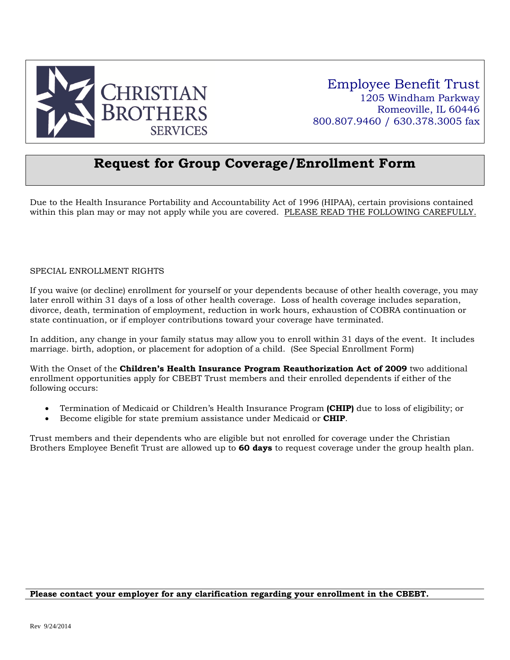

Employee Benefit Trust 1205 Windham Parkway Romeoville, IL 60446 800.807.9460 / 630.378.3005 fax

### **Request for Group Coverage/Enrollment Form**

Due to the Health Insurance Portability and Accountability Act of 1996 (HIPAA), certain provisions contained within this plan may or may not apply while you are covered. PLEASE READ THE FOLLOWING CAREFULLY.

#### SPECIAL ENROLLMENT RIGHTS

If you waive (or decline) enrollment for yourself or your dependents because of other health coverage, you may later enroll within 31 days of a loss of other health coverage. Loss of health coverage includes separation, divorce, death, termination of employment, reduction in work hours, exhaustion of COBRA continuation or state continuation, or if employer contributions toward your coverage have terminated.

In addition, any change in your family status may allow you to enroll within 31 days of the event. It includes marriage. birth, adoption, or placement for adoption of a child. (See Special Enrollment Form)

With the Onset of the **Children's Health Insurance Program Reauthorization Act of 2009** two additional enrollment opportunities apply for CBEBT Trust members and their enrolled dependents if either of the following occurs:

- Termination of Medicaid or Children's Health Insurance Program **(CHIP)** due to loss of eligibility; or
- Become eligible for state premium assistance under Medicaid or **CHIP**.

Trust members and their dependents who are eligible but not enrolled for coverage under the Christian Brothers Employee Benefit Trust are allowed up to **60 days** to request coverage under the group health plan.

#### **Please contact your employer for any clarification regarding your enrollment in the CBEBT.**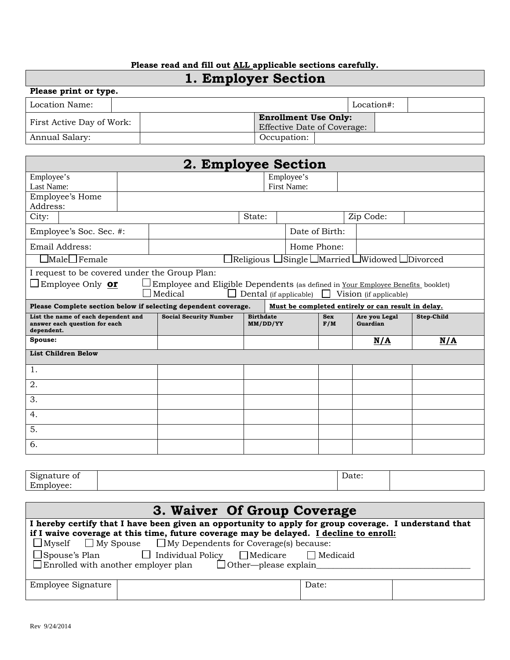### **Please read and fill out ALL applicable sections carefully.**

# **1. Employer Section**

| Please print or type.     |  |  |                                    |             |  |            |  |  |
|---------------------------|--|--|------------------------------------|-------------|--|------------|--|--|
| Location Name:            |  |  |                                    |             |  | Location#: |  |  |
| First Active Day of Work: |  |  | <b>Enrollment Use Only:</b>        |             |  |            |  |  |
|                           |  |  | <b>Effective Date of Coverage:</b> |             |  |            |  |  |
| Annual Salary:            |  |  |                                    | Occupation: |  |            |  |  |

|                                                                                                                      |                                  | 2. Employee Section                                                                               |                              |  |             |                   |                                                                                 |            |
|----------------------------------------------------------------------------------------------------------------------|----------------------------------|---------------------------------------------------------------------------------------------------|------------------------------|--|-------------|-------------------|---------------------------------------------------------------------------------|------------|
| Employee's                                                                                                           | Employee's<br><b>First Name:</b> |                                                                                                   |                              |  |             |                   |                                                                                 |            |
| Last Name:                                                                                                           |                                  |                                                                                                   |                              |  |             |                   |                                                                                 |            |
| Employee's Home<br>Address:                                                                                          |                                  |                                                                                                   |                              |  |             |                   |                                                                                 |            |
| City:                                                                                                                |                                  |                                                                                                   | State:                       |  |             |                   | Zip Code:                                                                       |            |
| Employee's Soc. Sec. #:                                                                                              |                                  | Date of Birth:                                                                                    |                              |  |             |                   |                                                                                 |            |
| Email Address:                                                                                                       |                                  |                                                                                                   |                              |  | Home Phone: |                   |                                                                                 |            |
| $\operatorname{\mathbb{I}}$ Male $\Box$ Female                                                                       |                                  |                                                                                                   |                              |  |             |                   | $\exists$ Religious $\Box$ Single $\Box$ Married $\Box$ Widowed $\Box$ Divorced |            |
| I request to be covered under the Group Plan:                                                                        |                                  |                                                                                                   |                              |  |             |                   |                                                                                 |            |
| Employee Only <b>or</b>                                                                                              |                                  | Employee and Eligible Dependents (as defined in <u>Your Employee Benefits</u> booklet)<br>Medical | Dental (if applicable)       |  |             |                   | Vision (if applicable)                                                          |            |
| Please Complete section below if selecting dependent coverage.<br>Must be completed entirely or can result in delay. |                                  |                                                                                                   |                              |  |             |                   |                                                                                 |            |
|                                                                                                                      |                                  |                                                                                                   |                              |  |             |                   |                                                                                 |            |
| List the name of each dependent and<br>answer each question for each<br>dependent.                                   |                                  | <b>Social Security Number</b>                                                                     | <b>Birthdate</b><br>MM/DD/YY |  |             | <b>Sex</b><br>F/M | Are you Legal<br>Guardian                                                       | Step-Child |
| Spouse:                                                                                                              |                                  |                                                                                                   |                              |  |             |                   | N/A                                                                             | N/A        |
| <b>List Children Below</b>                                                                                           |                                  |                                                                                                   |                              |  |             |                   |                                                                                 |            |
| 1.                                                                                                                   |                                  |                                                                                                   |                              |  |             |                   |                                                                                 |            |
| 2.                                                                                                                   |                                  |                                                                                                   |                              |  |             |                   |                                                                                 |            |
| 3.                                                                                                                   |                                  |                                                                                                   |                              |  |             |                   |                                                                                 |            |
| 4.                                                                                                                   |                                  |                                                                                                   |                              |  |             |                   |                                                                                 |            |
| 5.                                                                                                                   |                                  |                                                                                                   |                              |  |             |                   |                                                                                 |            |

| $\sim$<br>Signature of<br>൧ | $\overline{\phantom{a}}$<br>Date: |  |
|-----------------------------|-----------------------------------|--|
| Employee:                   |                                   |  |

| 3. Waiver Of Group Coverage                                                                                                                                            |       |  |  |  |  |
|------------------------------------------------------------------------------------------------------------------------------------------------------------------------|-------|--|--|--|--|
| I hereby certify that I have been given an opportunity to apply for group coverage. I understand that                                                                  |       |  |  |  |  |
| if I waive coverage at this time, future coverage may be delayed. I decline to enroll:<br>$\Box$ Myself $\Box$ My Spouse $\Box$ My Dependents for Coverage(s) because: |       |  |  |  |  |
| □ Spouse's Plan              Individual Policy    □ Medicare<br>$\Box$ Medicaid<br>$\Box$ Enrolled with another employer plan $\Box$ Other—please explain              |       |  |  |  |  |
| Employee Signature                                                                                                                                                     | Date: |  |  |  |  |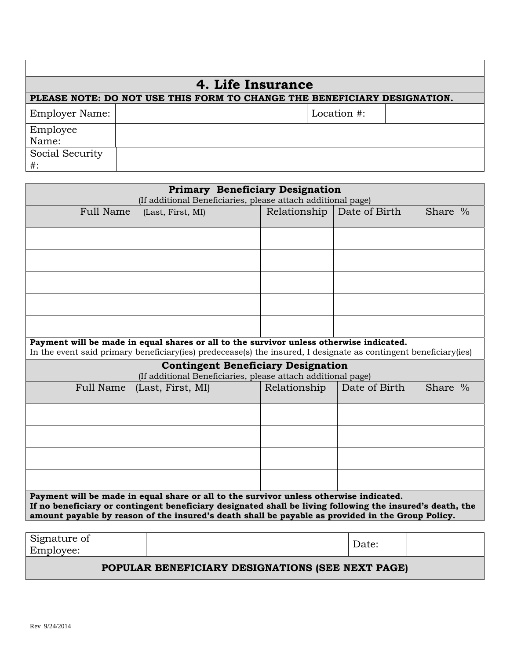| 4. Life Insurance |                                                                          |             |  |  |  |  |  |
|-------------------|--------------------------------------------------------------------------|-------------|--|--|--|--|--|
|                   | PLEASE NOTE: DO NOT USE THIS FORM TO CHANGE THE BENEFICIARY DESIGNATION. |             |  |  |  |  |  |
| Employer Name:    |                                                                          | Location #: |  |  |  |  |  |
| Employee          |                                                                          |             |  |  |  |  |  |
| Name:             |                                                                          |             |  |  |  |  |  |
| Social Security   |                                                                          |             |  |  |  |  |  |
| $#$ :             |                                                                          |             |  |  |  |  |  |

| <b>Primary Beneficiary Designation</b><br>(If additional Beneficiaries, please attach additional page)                                                                                                                                                                                                   |                                                                                                           |              |               |         |  |
|----------------------------------------------------------------------------------------------------------------------------------------------------------------------------------------------------------------------------------------------------------------------------------------------------------|-----------------------------------------------------------------------------------------------------------|--------------|---------------|---------|--|
| <b>Full Name</b>                                                                                                                                                                                                                                                                                         | (Last, First, MI)                                                                                         | Relationship | Date of Birth | Share % |  |
|                                                                                                                                                                                                                                                                                                          |                                                                                                           |              |               |         |  |
|                                                                                                                                                                                                                                                                                                          |                                                                                                           |              |               |         |  |
|                                                                                                                                                                                                                                                                                                          |                                                                                                           |              |               |         |  |
|                                                                                                                                                                                                                                                                                                          |                                                                                                           |              |               |         |  |
|                                                                                                                                                                                                                                                                                                          |                                                                                                           |              |               |         |  |
| Payment will be made in equal shares or all to the survivor unless otherwise indicated.<br>In the event said primary beneficiary (ies) predecease(s) the insured, I designate as contingent beneficiary (ies)                                                                                            |                                                                                                           |              |               |         |  |
|                                                                                                                                                                                                                                                                                                          | <b>Contingent Beneficiary Designation</b><br>(If additional Beneficiaries, please attach additional page) |              |               |         |  |
| Full Name                                                                                                                                                                                                                                                                                                | (Last, First, MI)                                                                                         | Relationship | Date of Birth | Share % |  |
|                                                                                                                                                                                                                                                                                                          |                                                                                                           |              |               |         |  |
|                                                                                                                                                                                                                                                                                                          |                                                                                                           |              |               |         |  |
|                                                                                                                                                                                                                                                                                                          |                                                                                                           |              |               |         |  |
|                                                                                                                                                                                                                                                                                                          |                                                                                                           |              |               |         |  |
| Payment will be made in equal share or all to the survivor unless otherwise indicated.<br>If no beneficiary or contingent beneficiary designated shall be living following the insured's death, the<br>amount payable by reason of the insured's death shall be payable as provided in the Group Policy. |                                                                                                           |              |               |         |  |
| Signature of                                                                                                                                                                                                                                                                                             |                                                                                                           |              |               |         |  |
| Employee:                                                                                                                                                                                                                                                                                                |                                                                                                           |              | Date:         |         |  |

### **POPULAR BENEFICIARY DESIGNATIONS (SEE NEXT PAGE)**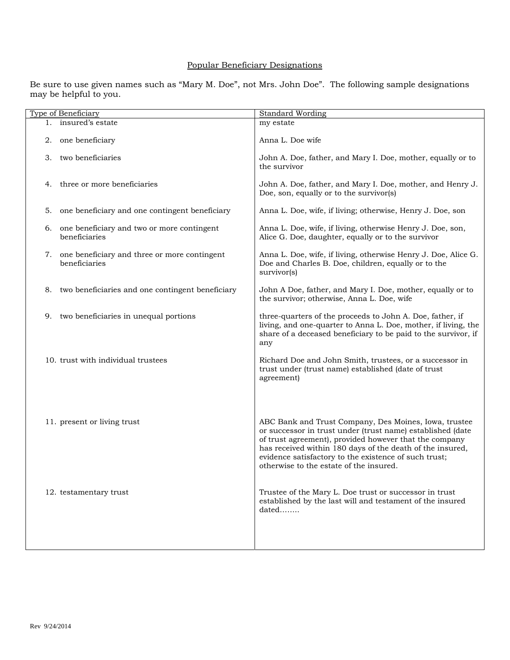#### Popular Beneficiary Designations

Be sure to use given names such as "Mary M. Doe", not Mrs. John Doe". The following sample designations may be helpful to you.

|    | <b>Type of Beneficiary</b>                                       | <b>Standard Wording</b>                                                                                                                                                                                                                                                                                                                        |
|----|------------------------------------------------------------------|------------------------------------------------------------------------------------------------------------------------------------------------------------------------------------------------------------------------------------------------------------------------------------------------------------------------------------------------|
|    | 1. insured's estate                                              | my estate                                                                                                                                                                                                                                                                                                                                      |
|    | 2. one beneficiary                                               | Anna L. Doe wife                                                                                                                                                                                                                                                                                                                               |
| 3. | two beneficiaries                                                | John A. Doe, father, and Mary I. Doe, mother, equally or to<br>the survivor                                                                                                                                                                                                                                                                    |
| 4. | three or more beneficiaries                                      | John A. Doe, father, and Mary I. Doe, mother, and Henry J.<br>Doe, son, equally or to the survivor(s)                                                                                                                                                                                                                                          |
| 5. | one beneficiary and one contingent beneficiary                   | Anna L. Doe, wife, if living; otherwise, Henry J. Doe, son                                                                                                                                                                                                                                                                                     |
| 6. | one beneficiary and two or more contingent<br>beneficiaries      | Anna L. Doe, wife, if living, otherwise Henry J. Doe, son,<br>Alice G. Doe, daughter, equally or to the survivor                                                                                                                                                                                                                               |
|    | 7. one beneficiary and three or more contingent<br>beneficiaries | Anna L. Doe, wife, if living, otherwise Henry J. Doe, Alice G.<br>Doe and Charles B. Doe, children, equally or to the<br>survivor(s)                                                                                                                                                                                                           |
| 8. | two beneficiaries and one contingent beneficiary                 | John A Doe, father, and Mary I. Doe, mother, equally or to<br>the survivor; otherwise, Anna L. Doe, wife                                                                                                                                                                                                                                       |
| 9. | two beneficiaries in unequal portions                            | three-quarters of the proceeds to John A. Doe, father, if<br>living, and one-quarter to Anna L. Doe, mother, if living, the<br>share of a deceased beneficiary to be paid to the survivor, if<br>any                                                                                                                                           |
|    | 10. trust with individual trustees                               | Richard Doe and John Smith, trustees, or a successor in<br>trust under (trust name) established (date of trust<br>agreement)                                                                                                                                                                                                                   |
|    | 11. present or living trust                                      | ABC Bank and Trust Company, Des Moines, Iowa, trustee<br>or successor in trust under (trust name) established (date<br>of trust agreement), provided however that the company<br>has received within 180 days of the death of the insured,<br>evidence satisfactory to the existence of such trust;<br>otherwise to the estate of the insured. |
|    | 12. testamentary trust                                           | Trustee of the Mary L. Doe trust or successor in trust<br>established by the last will and testament of the insured<br>dated                                                                                                                                                                                                                   |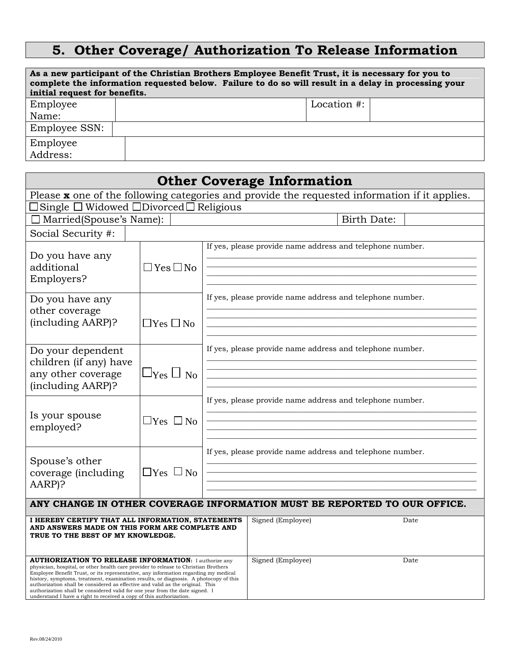# **5. Other Coverage/ Authorization To Release Information**

| As a new participant of the Christian Brothers Employee Benefit Trust, it is necessary for you to<br>complete the information requested below. Failure to do so will result in a delay in processing your<br>initial request for benefits. |             |  |  |  |  |  |  |
|--------------------------------------------------------------------------------------------------------------------------------------------------------------------------------------------------------------------------------------------|-------------|--|--|--|--|--|--|
| Employee                                                                                                                                                                                                                                   | Location #: |  |  |  |  |  |  |
| Name:                                                                                                                                                                                                                                      |             |  |  |  |  |  |  |
| Employee SSN:                                                                                                                                                                                                                              |             |  |  |  |  |  |  |
| Employee                                                                                                                                                                                                                                   |             |  |  |  |  |  |  |
| Address:                                                                                                                                                                                                                                   |             |  |  |  |  |  |  |

|                                                                                                                                                                                                                                                                                                                                                                                                                                                                                                                                                                             |                      | <b>Other Coverage Information</b>                         |                    |  |
|-----------------------------------------------------------------------------------------------------------------------------------------------------------------------------------------------------------------------------------------------------------------------------------------------------------------------------------------------------------------------------------------------------------------------------------------------------------------------------------------------------------------------------------------------------------------------------|----------------------|-----------------------------------------------------------|--------------------|--|
| Please $x$ one of the following categories and provide the requested information if it applies.                                                                                                                                                                                                                                                                                                                                                                                                                                                                             |                      |                                                           |                    |  |
| Single $\square$ Widowed $\square$ Divorced $\square$ Religious                                                                                                                                                                                                                                                                                                                                                                                                                                                                                                             |                      |                                                           |                    |  |
| □ Married(Spouse's Name):                                                                                                                                                                                                                                                                                                                                                                                                                                                                                                                                                   |                      |                                                           | <b>Birth Date:</b> |  |
| Social Security #:                                                                                                                                                                                                                                                                                                                                                                                                                                                                                                                                                          |                      |                                                           |                    |  |
| Do you have any<br>$\Box$ Yes $\Box$ No<br>additional<br>Employers?                                                                                                                                                                                                                                                                                                                                                                                                                                                                                                         |                      | If yes, please provide name address and telephone number. |                    |  |
| Do you have any<br>other coverage<br>(including AARP)?                                                                                                                                                                                                                                                                                                                                                                                                                                                                                                                      | $\Box$ Yes $\Box$ No | If yes, please provide name address and telephone number. |                    |  |
| Do your dependent<br>children (if any) have<br>any other coverage<br>(including AARP)?                                                                                                                                                                                                                                                                                                                                                                                                                                                                                      | $\Box$ Yes $\Box$ No | If yes, please provide name address and telephone number. |                    |  |
| Is your spouse<br>$\Box$ Yes $\Box$ No<br>employed?                                                                                                                                                                                                                                                                                                                                                                                                                                                                                                                         |                      | If yes, please provide name address and telephone number. |                    |  |
| Spouse's other<br>coverage (including<br>AARP)?                                                                                                                                                                                                                                                                                                                                                                                                                                                                                                                             | $\Box$ Yes $\Box$ No | If yes, please provide name address and telephone number. |                    |  |
| ANY CHANGE IN OTHER COVERAGE INFORMATION MUST BE REPORTED TO OUR OFFICE.                                                                                                                                                                                                                                                                                                                                                                                                                                                                                                    |                      |                                                           |                    |  |
| I HEREBY CERTIFY THAT ALL INFORMATION, STATEMENTS<br>AND ANSWERS MADE ON THIS FORM ARE COMPLETE AND<br>TRUE TO THE BEST OF MY KNOWLEDGE.                                                                                                                                                                                                                                                                                                                                                                                                                                    |                      | Signed (Employee)                                         | Date               |  |
| <b>AUTHORIZATION TO RELEASE INFORMATION:</b> I authorize any<br>physician, hospital, or other health care provider to release to Christian Brothers<br>Employee Benefit Trust, or its representative, any information regarding my medical<br>history, symptoms, treatment, examination results, or diagnosis. A photocopy of this<br>authorization shall be considered as effective and valid as the original. This<br>authorization shall be considered valid for one year from the date signed. I<br>understand I have a right to received a copy of this authorization. | Signed (Employee)    | Date                                                      |                    |  |